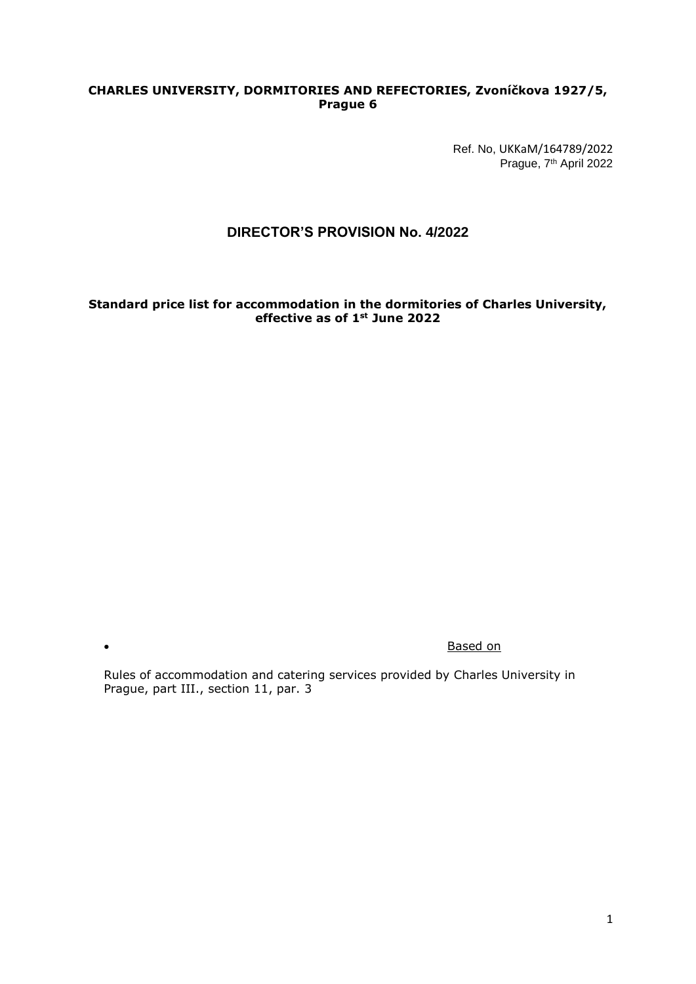# **CHARLES UNIVERSITY, DORMITORIES AND REFECTORIES, Zvoníčkova 1927/5, Prague 6**

Ref. No, [UKKaM/164789/202](https://essuk.is.cuni.cz/ost/posta/brow_spis.php?cislo_spisu1=336084&cislo_spisu2=2019&doc_id=1001689192)2 Prague, 7<sup>th</sup> April 2022

# **DIRECTOR'S PROVISION No. 4/2022**

## **Standard price list for accommodation in the dormitories of Charles University, effective as of 1st June 2022**

**Contract on the Contract of the Contract of the Contract of the Contract of the Contract of the Contract of the Contract of the Contract of the Contract of the Contract of the Contract of the Contract of the Contract of t** 

Rules of accommodation and catering services provided by Charles University in Prague, part III., section 11, par. 3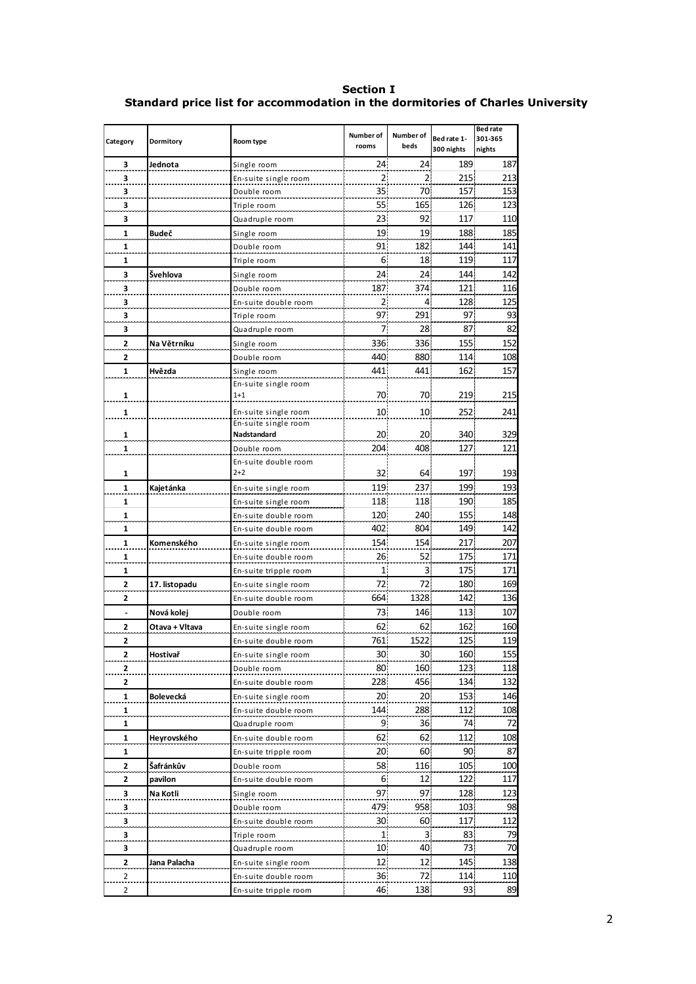| Category                 | Dormitory      | Room type                           | Number of<br>rooms | Number of<br>beds | Bed rate 1-<br>300 nights | <b>Bed rate</b><br>301-365<br>nights |
|--------------------------|----------------|-------------------------------------|--------------------|-------------------|---------------------------|--------------------------------------|
| 3                        | Jednota        | Single room                         | 24.                | 24                | 189                       | 187                                  |
| 3                        |                | En-suite single room                | 2                  | 2                 | 215                       | 213                                  |
| $\overline{3}$           |                | Double room                         | 35                 | 70                | 157                       | 153                                  |
| $\overline{3}$           |                | Triple room                         | 55                 | 165               | 126                       | 123                                  |
| 3                        |                | Quadruple room                      | 23                 | 92                | 117                       | 110                                  |
| 1                        | Budeč          | Single room                         | 19                 | 19                | 188                       | 185                                  |
| 1                        |                | Double room                         | 91                 | 182               | 144                       | 141                                  |
| 1                        |                | Triple room                         | 6                  | 18                | 119                       | 117                                  |
| 3                        | Švehlova       | Single room                         | 24(                | 24                | 144                       | 142                                  |
| з                        |                | Double room                         | 187                | 374               | 121                       | 116                                  |
| З                        |                | En-suite double room                | 2                  | 4                 | 128                       | 125                                  |
| 3                        |                | Triple room                         | 97                 | 291               | 97                        | 93                                   |
| З                        |                | Quadruple room                      | 71                 | 28                | 87                        | 82                                   |
| 2                        | Na Větrníku    | Single room                         | 3361               | 336               | 155                       | 152                                  |
| 2                        |                | Double room                         | 440                | 880               | 114                       | 108                                  |
| 1                        | Hvězda         | Single room<br>En-suite single room | 441                | 441               | 162                       | 157                                  |
| 1                        |                | $1+1$                               | 70.                | 70                | 219                       | 215                                  |
| 1                        |                | En-suite single room                | 10 <sub>1</sub>    | 10                | 252                       | 241                                  |
|                          |                | En-suite single room                |                    |                   |                           |                                      |
| $\overline{1}$           |                | Nadstandard                         | 20                 | 20                | 340                       | 329                                  |
| 1                        |                | Double room                         | 204                | 408               | 127                       | 121                                  |
| 1                        |                | En-suite double room<br>$2+2$       | 32                 | 64                | 197                       | 193                                  |
| 1                        | Kajetánka      | En-suite single room                | 119                | 237               | 199                       | 193                                  |
| 1                        |                | En-suite single room                | 118                | 118               | 190                       | 185                                  |
| 1                        |                | En-suite double room                | 120                | 240               | 155                       | 148                                  |
| 1                        |                | En-suite double room                | 402                | 804               | 149                       | 142                                  |
| 1                        | Komenského     | En-suite single room                | 154                | 154               | 217                       | 207                                  |
| 1                        |                | En-suite double room                | 26                 | 52                | 175                       | 171                                  |
| 1                        |                | En-suite tripple room               | 1                  | 3                 | 175                       | 171                                  |
| 2                        | 17. listopadu  | En-suite single room                | 72                 | 72                | 180                       | 169                                  |
| 2                        |                | En-suite double room                | 664                | 1328              | 142                       | 136                                  |
| $\overline{\phantom{a}}$ | Nová kolej     | Double room                         | 73                 | 146               | 113                       | 107                                  |
| 2                        | Otava + Vltava | En-suite single room                | 62                 | 62                | 162                       | 160                                  |
| 2                        |                | En-suite double room                | 761                | 1522              | 125                       | 119                                  |
| 2                        | Hostivař       | En-suite single room                | 30 <sub>l</sub>    | 30                | 160                       | 155                                  |
| 2                        |                | Double room                         | 80                 | 160               | 123                       | 118                                  |
| 2                        |                | En-suite double room                | 228                | 456)              | 134)                      | 132                                  |
| 1                        | Bolevecká      | En-suite single room                | 20                 | 20                | 153                       | 146                                  |
| $\overline{1}$           |                | En-suite double room                | 144                | 288               | 112                       | 108                                  |
| 1                        |                | Quadruple room                      | 9,                 | 36                | 74                        | 72                                   |
| $\overline{1}$           | Heyrovského    | En-suite double room                | 62                 | 62                | 112                       | 108                                  |
| 1                        |                | En-suite tripple room               | 20.                | 60)               | 90)                       | 87                                   |
| 2                        | Šafránkův      | Double room                         | 58                 | 116               | 105                       | 100                                  |
| 2                        | pavilon        | En-suite double room                | 6                  | 12                | 122                       | 117                                  |
| 3                        | Na Kotli       | Single room                         | 97                 | 97                | 128                       | 123                                  |
| $\overline{\mathbf{3}}$  |                | Double room                         | 479                | 9581              | 103                       | 98                                   |
| 3                        |                | En-suite double room                | 30                 | 60                | 117                       | 112                                  |
| $\overline{\mathbf{3}}$  |                | Triple room                         | 1                  | 3                 | 83                        | 79                                   |
| з                        |                | Quadruple room                      | 10)                | 40,               | 73                        | 70                                   |
| $\overline{2}$           | Jana Palacha   | En-suite single room                | 12                 | 12                | 145                       | 138                                  |
| $\overline{a}$           |                | En-suite double room                | 36                 | 72                | 114                       | 110                                  |
| 2                        |                | En-suite tripple room               | 46.                | 138               | 93                        | 89                                   |

**Section I Standard price list for accommodation in the dormitories of Charles University**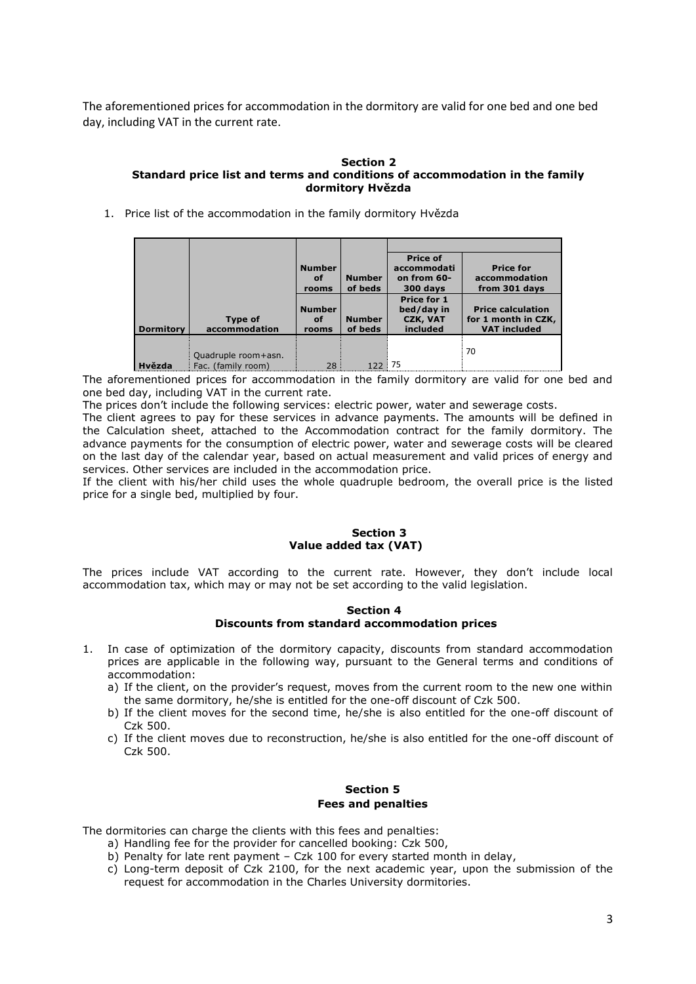The aforementioned prices for accommodation in the dormitory are valid for one bed and one bed day, including VAT in the current rate.

#### **Section 2 Standard price list and terms and conditions of accommodation in the family dormitory Hvězda**

1. Price list of the accommodation in the family dormitory Hvězda

|                  | <b>Type of</b>                            | <b>Number</b><br><b>of</b><br>rooms<br><b>Number</b><br><b>of</b> | <b>Number</b><br>of beds<br><b>Number</b> | <b>Price of</b><br>accommodati<br>on from 60-<br>300 days<br><b>Price for 1</b><br>bed/day in<br><b>CZK, VAT</b> | <b>Price for</b><br>accommodation<br>from 301 days<br><b>Price calculation</b><br>for 1 month in CZK, |
|------------------|-------------------------------------------|-------------------------------------------------------------------|-------------------------------------------|------------------------------------------------------------------------------------------------------------------|-------------------------------------------------------------------------------------------------------|
| <b>Dormitory</b> | accommodation                             | rooms                                                             | of beds                                   | included                                                                                                         | <b>VAT included</b>                                                                                   |
| Hyězda           | Quadruple room+asn.<br>Fac. (family room) | 28                                                                |                                           | 75                                                                                                               | 70                                                                                                    |

The aforementioned prices for accommodation in the family dormitory are valid for one bed and one bed day, including VAT in the current rate.

The prices don't include the following services: electric power, water and sewerage costs.

The client agrees to pay for these services in advance payments. The amounts will be defined in the Calculation sheet, attached to the Accommodation contract for the family dormitory. The advance payments for the consumption of electric power, water and sewerage costs will be cleared on the last day of the calendar year, based on actual measurement and valid prices of energy and services. Other services are included in the accommodation price.

If the client with his/her child uses the whole quadruple bedroom, the overall price is the listed price for a single bed, multiplied by four.

### **Section 3 Value added tax (VAT)**

The prices include VAT according to the current rate. However, they don't include local accommodation tax, which may or may not be set according to the valid legislation.

#### **Section 4 Discounts from standard accommodation prices**

- 1. In case of optimization of the dormitory capacity, discounts from standard accommodation prices are applicable in the following way, pursuant to the General terms and conditions of accommodation:
	- a) If the client, on the provider's request, moves from the current room to the new one within the same dormitory, he/she is entitled for the one-off discount of Czk 500.
	- b) If the client moves for the second time, he/she is also entitled for the one-off discount of Czk 500.
	- c) If the client moves due to reconstruction, he/she is also entitled for the one-off discount of Czk 500.

## **Section 5 Fees and penalties**

The dormitories can charge the clients with this fees and penalties:

- a) Handling fee for the provider for cancelled booking: Czk 500,
- b) Penalty for late rent payment Czk 100 for every started month in delay,
- c) Long-term deposit of Czk 2100, for the next academic year, upon the submission of the request for accommodation in the Charles University dormitories.